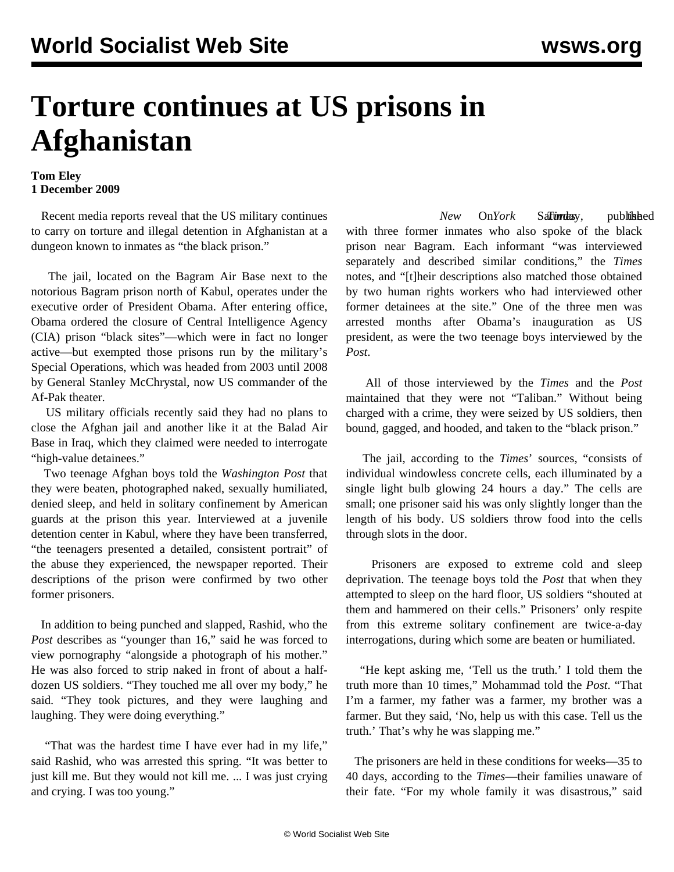## **Torture continues at US prisons in Afghanistan**

## **Tom Eley 1 December 2009**

 Recent media reports reveal that the US military continues to carry on torture and illegal detention in Afghanistan at a dungeon known to inmates as "the black prison."

 The jail, located on the Bagram Air Base next to the notorious Bagram prison north of Kabul, operates under the executive order of President Obama. After entering office, Obama ordered the closure of Central Intelligence Agency (CIA) prison "black sites"—which were in fact no longer active—but exempted those prisons run by the military's Special Operations, which was headed from 2003 until 2008 by General Stanley McChrystal, now US commander of the Af-Pak theater.

 US military officials recently said they had no plans to close the Afghan jail and another like it at the Balad Air Base in Iraq, which they claimed were needed to interrogate "high-value detainees."

 Two teenage Afghan boys told the *Washington Post* that they were beaten, photographed naked, sexually humiliated, denied sleep, and held in solitary confinement by American guards at the prison this year. Interviewed at a juvenile detention center in Kabul, where they have been transferred, "the teenagers presented a detailed, consistent portrait" of the abuse they experienced, the newspaper reported. Their descriptions of the prison were confirmed by two other former prisoners.

 In addition to being punched and slapped, Rashid, who the *Post* describes as "younger than 16," said he was forced to view pornography "alongside a photograph of his mother." He was also forced to strip naked in front of about a halfdozen US soldiers. "They touched me all over my body," he said. "They took pictures, and they were laughing and laughing. They were doing everything."

 "That was the hardest time I have ever had in my life," said Rashid, who was arrested this spring. "It was better to just kill me. But they would not kill me. ... I was just crying and crying. I was too young."

New On*York* Sa**Times** published with three former inmates who also spoke of the black prison near Bagram. Each informant "was interviewed separately and described similar conditions," the *Times* notes, and "[t]heir descriptions also matched those obtained by two human rights workers who had interviewed other former detainees at the site." One of the three men was arrested months after Obama's inauguration as US president, as were the two teenage boys interviewed by the *Post*.

 All of those interviewed by the *Times* and the *Post* maintained that they were not "Taliban." Without being charged with a crime, they were seized by US soldiers, then bound, gagged, and hooded, and taken to the "black prison."

 The jail, according to the *Times*' sources, "consists of individual windowless concrete cells, each illuminated by a single light bulb glowing 24 hours a day." The cells are small; one prisoner said his was only slightly longer than the length of his body. US soldiers throw food into the cells through slots in the door.

 Prisoners are exposed to extreme cold and sleep deprivation. The teenage boys told the *Post* that when they attempted to sleep on the hard floor, US soldiers "shouted at them and hammered on their cells." Prisoners' only respite from this extreme solitary confinement are twice-a-day interrogations, during which some are beaten or humiliated.

 "He kept asking me, 'Tell us the truth.' I told them the truth more than 10 times," Mohammad told the *Post*. "That I'm a farmer, my father was a farmer, my brother was a farmer. But they said, 'No, help us with this case. Tell us the truth.' That's why he was slapping me."

 The prisoners are held in these conditions for weeks—35 to 40 days, according to the *Times*—their families unaware of their fate. "For my whole family it was disastrous," said